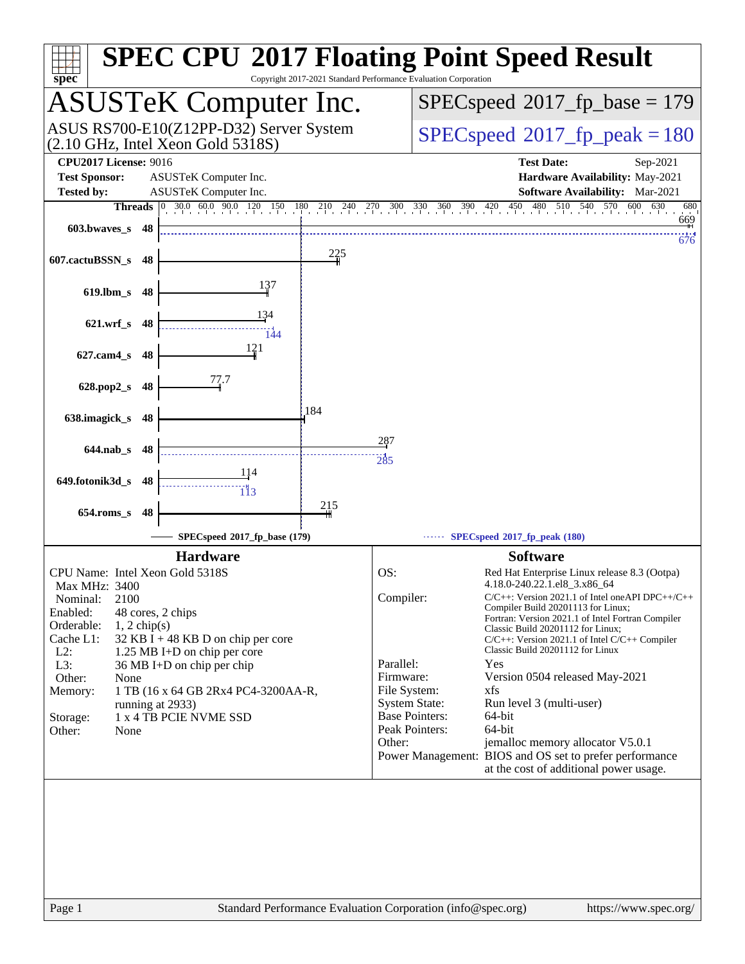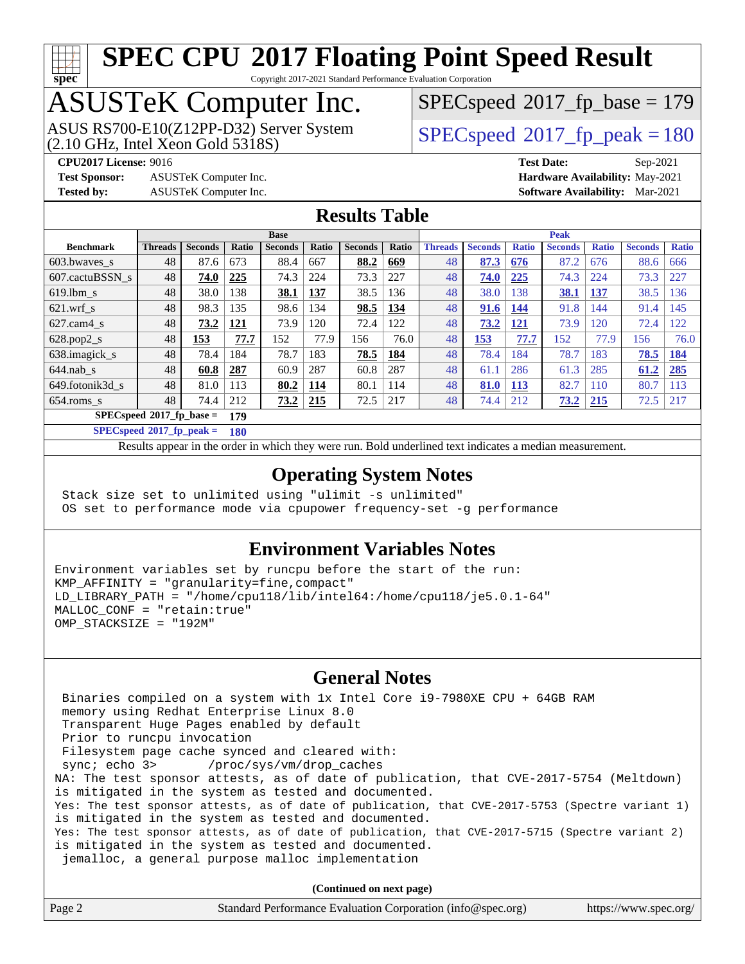# **[spec](http://www.spec.org/)**

# **[SPEC CPU](http://www.spec.org/auto/cpu2017/Docs/result-fields.html#SPECCPU2017FloatingPointSpeedResult)[2017 Floating Point Speed Result](http://www.spec.org/auto/cpu2017/Docs/result-fields.html#SPECCPU2017FloatingPointSpeedResult)**

Copyright 2017-2021 Standard Performance Evaluation Corporation

### ASUSTeK Computer Inc.

(2.10 GHz, Intel Xeon Gold 5318S) ASUS RS700-E10(Z12PP-D32) Server System [SPECspeed](http://www.spec.org/auto/cpu2017/Docs/result-fields.html#SPECspeed2017fppeak)<sup>®</sup>2017 fp\_peak = 180

[SPECspeed](http://www.spec.org/auto/cpu2017/Docs/result-fields.html#SPECspeed2017fpbase)<sup>®</sup>2017 fp base = 179

**[Test Sponsor:](http://www.spec.org/auto/cpu2017/Docs/result-fields.html#TestSponsor)** ASUSTeK Computer Inc. **[Hardware Availability:](http://www.spec.org/auto/cpu2017/Docs/result-fields.html#HardwareAvailability)** May-2021

**[CPU2017 License:](http://www.spec.org/auto/cpu2017/Docs/result-fields.html#CPU2017License)** 9016 **[Test Date:](http://www.spec.org/auto/cpu2017/Docs/result-fields.html#TestDate)** Sep-2021 **[Tested by:](http://www.spec.org/auto/cpu2017/Docs/result-fields.html#Testedby)** ASUSTeK Computer Inc. **[Software Availability:](http://www.spec.org/auto/cpu2017/Docs/result-fields.html#SoftwareAvailability)** Mar-2021

#### **[Results Table](http://www.spec.org/auto/cpu2017/Docs/result-fields.html#ResultsTable)**

|                            | <b>Base</b>    |                |              |                | <b>Peak</b> |                |       |                |                |              |                |              |                |              |
|----------------------------|----------------|----------------|--------------|----------------|-------------|----------------|-------|----------------|----------------|--------------|----------------|--------------|----------------|--------------|
| <b>Benchmark</b>           | <b>Threads</b> | <b>Seconds</b> | <b>Ratio</b> | <b>Seconds</b> | Ratio       | <b>Seconds</b> | Ratio | <b>Threads</b> | <b>Seconds</b> | <b>Ratio</b> | <b>Seconds</b> | <b>Ratio</b> | <b>Seconds</b> | <b>Ratio</b> |
| $603.bwaves$ s             | 48             | 87.6           | 673          | 88.4           | 667         | 88.2           | 669   | 48             | 87.3           | 676          | 87.2           | 676          | 88.6           | 666          |
| 607.cactuBSSN s            | 48             | 74.0           | 225          | 74.3           | 224         | 73.3           | 227   | 48             | 74.0           | 225          | 74.3           | 224          | 73.3           | 227          |
| $619.1$ bm s               | 48             | 38.0           | 138          | 38.1           | 137         | 38.5           | 36    | 48             | 38.0           | 138          | 38.1           | 137          | 38.5           | 136          |
| $621.wrf$ s                | 48             | 98.3           | 135          | 98.6           | 134         | 98.5           | 134   | 48             | 91.6           | 144          | 91.8           | 144          | 91.4           | 145          |
| $627$ .cam $4$ s           | 48             | 73.2           | 121          | 73.9           | 120         | 72.4           | 122   | 48             | 73.2           | 121          | 73.9           | 120          | 72.4           | 122          |
| $628.pop2_s$               | 48             | 153            | 77.7         | 152            | 77.9        | 156            | 76.0  | 48             | 153            | 77.7         | 152            | 77.9         | 156            | 76.0         |
| 638.imagick_s              | 48             | 78.4           | 184          | 78.7           | 183         | 78.5           | 184   | 48             | 78.4           | 184          | 78.7           | 183          | 78.5           | 184          |
| $644$ .nab s               | 48             | 60.8           | 287          | 60.9           | 287         | 60.8           | 287   | 48             | 61.1           | 286          | 61.3           | 285          | 61.2           | 285          |
| 649.fotonik3d s            | 48             | 81.0           | 113          | 80.2           | 114         | 80.1           | 114   | 48             | 81.0           | 113          | 82.7           | 110          | 80.7           | 113          |
| $654$ .roms s              | 48             | 74.4           | 212          | 73.2           | 215         | 72.5           | 217   | 48             | 74.4           | 212          | <u>73.2</u>    | <b>215</b>   | 72.5           | 217          |
| $SPECspeed*2017$ fp base = | 179            |                |              |                |             |                |       |                |                |              |                |              |                |              |

**[SPECspeed](http://www.spec.org/auto/cpu2017/Docs/result-fields.html#SPECspeed2017fppeak)[2017\\_fp\\_peak =](http://www.spec.org/auto/cpu2017/Docs/result-fields.html#SPECspeed2017fppeak) 180**

Results appear in the [order in which they were run.](http://www.spec.org/auto/cpu2017/Docs/result-fields.html#RunOrder) Bold underlined text [indicates a median measurement](http://www.spec.org/auto/cpu2017/Docs/result-fields.html#Median).

### **[Operating System Notes](http://www.spec.org/auto/cpu2017/Docs/result-fields.html#OperatingSystemNotes)**

 Stack size set to unlimited using "ulimit -s unlimited" OS set to performance mode via cpupower frequency-set -g performance

#### **[Environment Variables Notes](http://www.spec.org/auto/cpu2017/Docs/result-fields.html#EnvironmentVariablesNotes)**

Environment variables set by runcpu before the start of the run: KMP\_AFFINITY = "granularity=fine,compact" LD LIBRARY PATH = "/home/cpu118/lib/intel64:/home/cpu118/je5.0.1-64" MALLOC\_CONF = "retain:true" OMP\_STACKSIZE = "192M"

#### **[General Notes](http://www.spec.org/auto/cpu2017/Docs/result-fields.html#GeneralNotes)**

 Binaries compiled on a system with 1x Intel Core i9-7980XE CPU + 64GB RAM memory using Redhat Enterprise Linux 8.0 Transparent Huge Pages enabled by default Prior to runcpu invocation Filesystem page cache synced and cleared with: sync; echo 3> /proc/sys/vm/drop\_caches NA: The test sponsor attests, as of date of publication, that CVE-2017-5754 (Meltdown) is mitigated in the system as tested and documented. Yes: The test sponsor attests, as of date of publication, that CVE-2017-5753 (Spectre variant 1) is mitigated in the system as tested and documented. Yes: The test sponsor attests, as of date of publication, that CVE-2017-5715 (Spectre variant 2) is mitigated in the system as tested and documented. jemalloc, a general purpose malloc implementation

**(Continued on next page)**

| Standard Performance Evaluation Corporation (info@spec.org)<br>Page 2 | https://www.spec.org/ |
|-----------------------------------------------------------------------|-----------------------|
|-----------------------------------------------------------------------|-----------------------|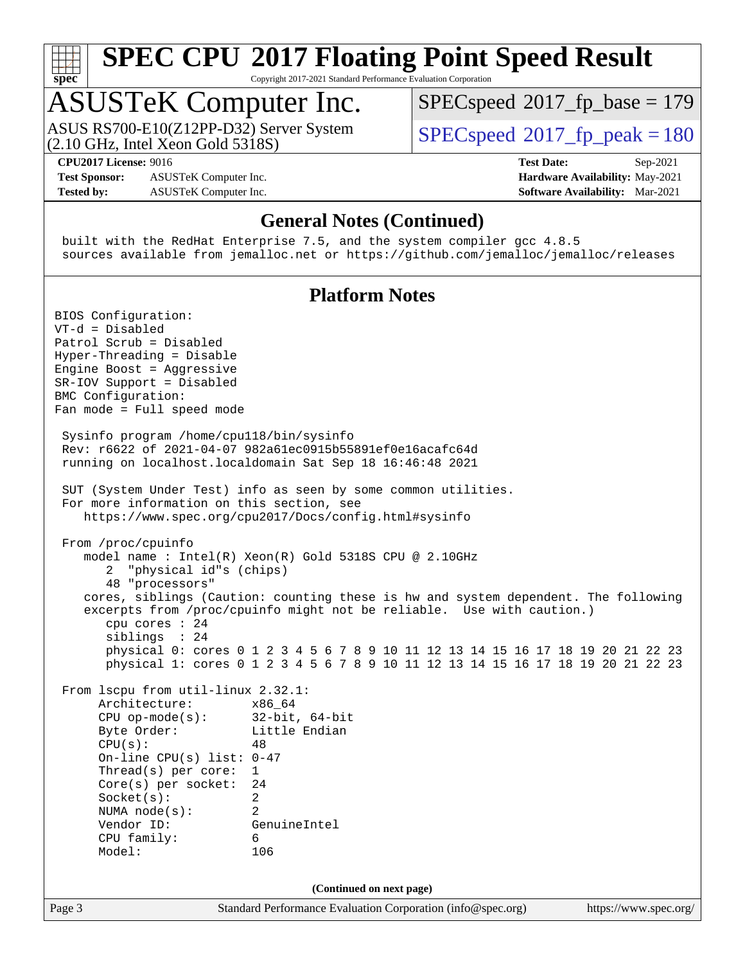

Copyright 2017-2021 Standard Performance Evaluation Corporation

### ASUSTeK Computer Inc.

(2.10 GHz, Intel Xeon Gold 5318S) ASUS RS700-E10(Z12PP-D32) Server System  $SPECspeed@2017$  $SPECspeed@2017$  fp\_peak = 180

[SPECspeed](http://www.spec.org/auto/cpu2017/Docs/result-fields.html#SPECspeed2017fpbase)<sup>®</sup>2017 fp base = 179

**[CPU2017 License:](http://www.spec.org/auto/cpu2017/Docs/result-fields.html#CPU2017License)** 9016 **[Test Date:](http://www.spec.org/auto/cpu2017/Docs/result-fields.html#TestDate)** Sep-2021

**[Test Sponsor:](http://www.spec.org/auto/cpu2017/Docs/result-fields.html#TestSponsor)** ASUSTeK Computer Inc. **[Hardware Availability:](http://www.spec.org/auto/cpu2017/Docs/result-fields.html#HardwareAvailability)** May-2021 **[Tested by:](http://www.spec.org/auto/cpu2017/Docs/result-fields.html#Testedby)** ASUSTeK Computer Inc. **[Software Availability:](http://www.spec.org/auto/cpu2017/Docs/result-fields.html#SoftwareAvailability)** Mar-2021

### **[General Notes \(Continued\)](http://www.spec.org/auto/cpu2017/Docs/result-fields.html#GeneralNotes)**

 built with the RedHat Enterprise 7.5, and the system compiler gcc 4.8.5 sources available from jemalloc.net or <https://github.com/jemalloc/jemalloc/releases>

### **[Platform Notes](http://www.spec.org/auto/cpu2017/Docs/result-fields.html#PlatformNotes)**

Page 3 Standard Performance Evaluation Corporation [\(info@spec.org\)](mailto:info@spec.org) <https://www.spec.org/> BIOS Configuration: VT-d = Disabled Patrol Scrub = Disabled Hyper-Threading = Disable Engine Boost = Aggressive SR-IOV Support = Disabled BMC Configuration: Fan mode = Full speed mode Sysinfo program /home/cpu118/bin/sysinfo Rev: r6622 of 2021-04-07 982a61ec0915b55891ef0e16acafc64d running on localhost.localdomain Sat Sep 18 16:46:48 2021 SUT (System Under Test) info as seen by some common utilities. For more information on this section, see <https://www.spec.org/cpu2017/Docs/config.html#sysinfo> From /proc/cpuinfo model name : Intel(R) Xeon(R) Gold 5318S CPU @ 2.10GHz 2 "physical id"s (chips) 48 "processors" cores, siblings (Caution: counting these is hw and system dependent. The following excerpts from /proc/cpuinfo might not be reliable. Use with caution.) cpu cores : 24 siblings : 24 physical 0: cores 0 1 2 3 4 5 6 7 8 9 10 11 12 13 14 15 16 17 18 19 20 21 22 23 physical 1: cores 0 1 2 3 4 5 6 7 8 9 10 11 12 13 14 15 16 17 18 19 20 21 22 23 From lscpu from util-linux 2.32.1: Architecture: x86\_64 CPU op-mode(s): 32-bit, 64-bit Byte Order: Little Endian  $CPU(s):$  48 On-line CPU(s) list: 0-47 Thread(s) per core: 1 Core(s) per socket: 24 Socket(s): 2 NUMA node(s): 2 Vendor ID: GenuineIntel CPU family: 6 Model: 106 **(Continued on next page)**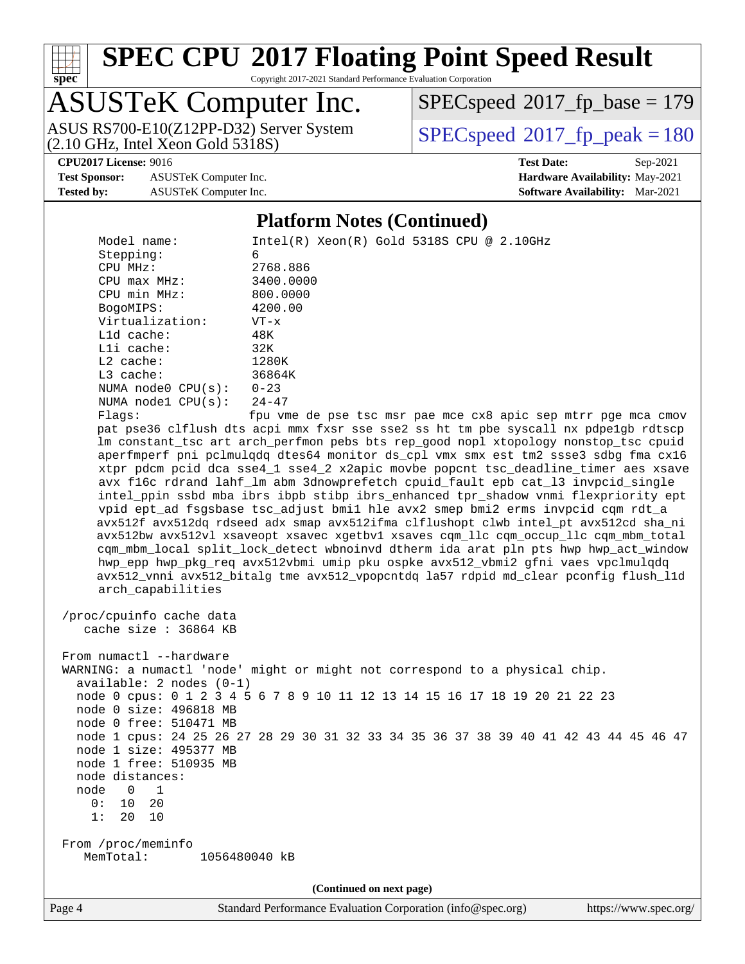

Copyright 2017-2021 Standard Performance Evaluation Corporation

## ASUSTeK Computer Inc.

(2.10 GHz, Intel Xeon Gold 5318S) ASUS RS700-E10(Z12PP-D32) Server System  $SPECspeed@2017$  $SPECspeed@2017$  fp\_peak = 180

[SPECspeed](http://www.spec.org/auto/cpu2017/Docs/result-fields.html#SPECspeed2017fpbase)<sup>®</sup>2017 fp base = 179

**[CPU2017 License:](http://www.spec.org/auto/cpu2017/Docs/result-fields.html#CPU2017License)** 9016 **[Test Date:](http://www.spec.org/auto/cpu2017/Docs/result-fields.html#TestDate)** Sep-2021

**[Test Sponsor:](http://www.spec.org/auto/cpu2017/Docs/result-fields.html#TestSponsor)** ASUSTeK Computer Inc. **[Hardware Availability:](http://www.spec.org/auto/cpu2017/Docs/result-fields.html#HardwareAvailability)** May-2021 **[Tested by:](http://www.spec.org/auto/cpu2017/Docs/result-fields.html#Testedby)** ASUSTeK Computer Inc. **[Software Availability:](http://www.spec.org/auto/cpu2017/Docs/result-fields.html#SoftwareAvailability)** Mar-2021

### **[Platform Notes \(Continued\)](http://www.spec.org/auto/cpu2017/Docs/result-fields.html#PlatformNotes)**

 Model name: Intel(R) Xeon(R) Gold 5318S CPU @ 2.10GHz Stepping: 6 CPU MHz: 2768.886 CPU max MHz: 3400.0000 CPU min MHz: 800.0000 BogoMIPS: 4200.00 Virtualization: VT-x L1d cache: 48K L1i cache: 32K L2 cache: 1280K L3 cache: 36864K NUMA node0 CPU(s): 0-23 NUMA node1 CPU(s): 24-47 Flags: fpu vme de pse tsc msr pae mce cx8 apic sep mtrr pge mca cmov pat pse36 clflush dts acpi mmx fxsr sse sse2 ss ht tm pbe syscall nx pdpe1gb rdtscp lm constant\_tsc art arch\_perfmon pebs bts rep\_good nopl xtopology nonstop\_tsc cpuid aperfmperf pni pclmulqdq dtes64 monitor ds\_cpl vmx smx est tm2 ssse3 sdbg fma cx16 xtpr pdcm pcid dca sse4\_1 sse4\_2 x2apic movbe popcnt tsc\_deadline\_timer aes xsave avx f16c rdrand lahf\_lm abm 3dnowprefetch cpuid\_fault epb cat\_l3 invpcid\_single intel\_ppin ssbd mba ibrs ibpb stibp ibrs\_enhanced tpr\_shadow vnmi flexpriority ept vpid ept\_ad fsgsbase tsc\_adjust bmi1 hle avx2 smep bmi2 erms invpcid cqm rdt\_a avx512f avx512dq rdseed adx smap avx512ifma clflushopt clwb intel\_pt avx512cd sha\_ni avx512bw avx512vl xsaveopt xsavec xgetbv1 xsaves cqm\_llc cqm\_occup\_llc cqm\_mbm\_total cqm\_mbm\_local split\_lock\_detect wbnoinvd dtherm ida arat pln pts hwp hwp\_act\_window hwp\_epp hwp\_pkg\_req avx512vbmi umip pku ospke avx512\_vbmi2 gfni vaes vpclmulqdq avx512\_vnni avx512\_bitalg tme avx512\_vpopcntdq la57 rdpid md\_clear pconfig flush\_l1d arch\_capabilities /proc/cpuinfo cache data cache size : 36864 KB From numactl --hardware WARNING: a numactl 'node' might or might not correspond to a physical chip. available: 2 nodes (0-1) node 0 cpus: 0 1 2 3 4 5 6 7 8 9 10 11 12 13 14 15 16 17 18 19 20 21 22 23 node 0 size: 496818 MB node 0 free: 510471 MB node 1 cpus: 24 25 26 27 28 29 30 31 32 33 34 35 36 37 38 39 40 41 42 43 44 45 46 47 node 1 size: 495377 MB node 1 free: 510935 MB node distances: node 0 1 0: 10 20 1: 20 10 From /proc/meminfo MemTotal: 1056480040 kB **(Continued on next page)**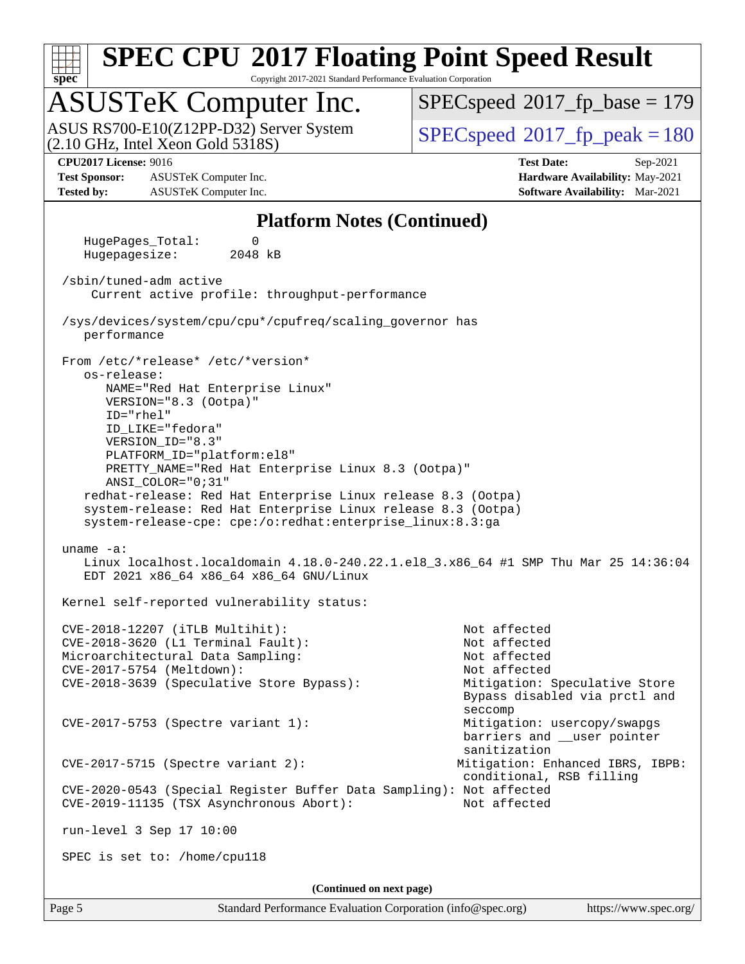

Copyright 2017-2021 Standard Performance Evaluation Corporation

### ASUSTeK Computer Inc.

(2.10 GHz, Intel Xeon Gold 5318S) ASUS RS700-E10(Z12PP-D32) Server System  $SPECspeed@2017$  $SPECspeed@2017$  fp\_peak = 180

[SPECspeed](http://www.spec.org/auto/cpu2017/Docs/result-fields.html#SPECspeed2017fpbase)<sup>®</sup>2017 fp base = 179

**[Test Sponsor:](http://www.spec.org/auto/cpu2017/Docs/result-fields.html#TestSponsor)** ASUSTeK Computer Inc. **[Hardware Availability:](http://www.spec.org/auto/cpu2017/Docs/result-fields.html#HardwareAvailability)** May-2021 **[Tested by:](http://www.spec.org/auto/cpu2017/Docs/result-fields.html#Testedby)** ASUSTeK Computer Inc. **[Software Availability:](http://www.spec.org/auto/cpu2017/Docs/result-fields.html#SoftwareAvailability)** Mar-2021

**[CPU2017 License:](http://www.spec.org/auto/cpu2017/Docs/result-fields.html#CPU2017License)** 9016 **[Test Date:](http://www.spec.org/auto/cpu2017/Docs/result-fields.html#TestDate)** Sep-2021

#### **[Platform Notes \(Continued\)](http://www.spec.org/auto/cpu2017/Docs/result-fields.html#PlatformNotes)**

 HugePages\_Total: 0 Hugepagesize: 2048 kB /sbin/tuned-adm active Current active profile: throughput-performance /sys/devices/system/cpu/cpu\*/cpufreq/scaling\_governor has performance From /etc/\*release\* /etc/\*version\* os-release: NAME="Red Hat Enterprise Linux" VERSION="8.3 (Ootpa)" ID="rhel" ID\_LIKE="fedora" VERSION\_ID="8.3" PLATFORM\_ID="platform:el8" PRETTY\_NAME="Red Hat Enterprise Linux 8.3 (Ootpa)" ANSI\_COLOR="0;31" redhat-release: Red Hat Enterprise Linux release 8.3 (Ootpa) system-release: Red Hat Enterprise Linux release 8.3 (Ootpa) system-release-cpe: cpe:/o:redhat:enterprise\_linux:8.3:ga uname -a: Linux localhost.localdomain 4.18.0-240.22.1.el8\_3.x86\_64 #1 SMP Thu Mar 25 14:36:04 EDT 2021 x86\_64 x86\_64 x86\_64 GNU/Linux Kernel self-reported vulnerability status: CVE-2018-12207 (iTLB Multihit): Not affected CVE-2018-3620 (L1 Terminal Fault): Not affected Microarchitectural Data Sampling: Not affected CVE-2017-5754 (Meltdown): Not affected CVE-2018-3639 (Speculative Store Bypass): Mitigation: Speculative Store Bypass disabled via prctl and seccompany and the second second seconds of the second seconds of the seconds of the seconds of the seconds of CVE-2017-5753 (Spectre variant 1): Mitigation: usercopy/swapgs barriers and \_\_user pointer sanitization CVE-2017-5715 (Spectre variant 2): Mitigation: Enhanced IBRS, IBPB: conditional, RSB filling CVE-2020-0543 (Special Register Buffer Data Sampling): Not affected CVE-2019-11135 (TSX Asynchronous Abort): Not affected run-level 3 Sep 17 10:00 SPEC is set to: /home/cpu118 **(Continued on next page)**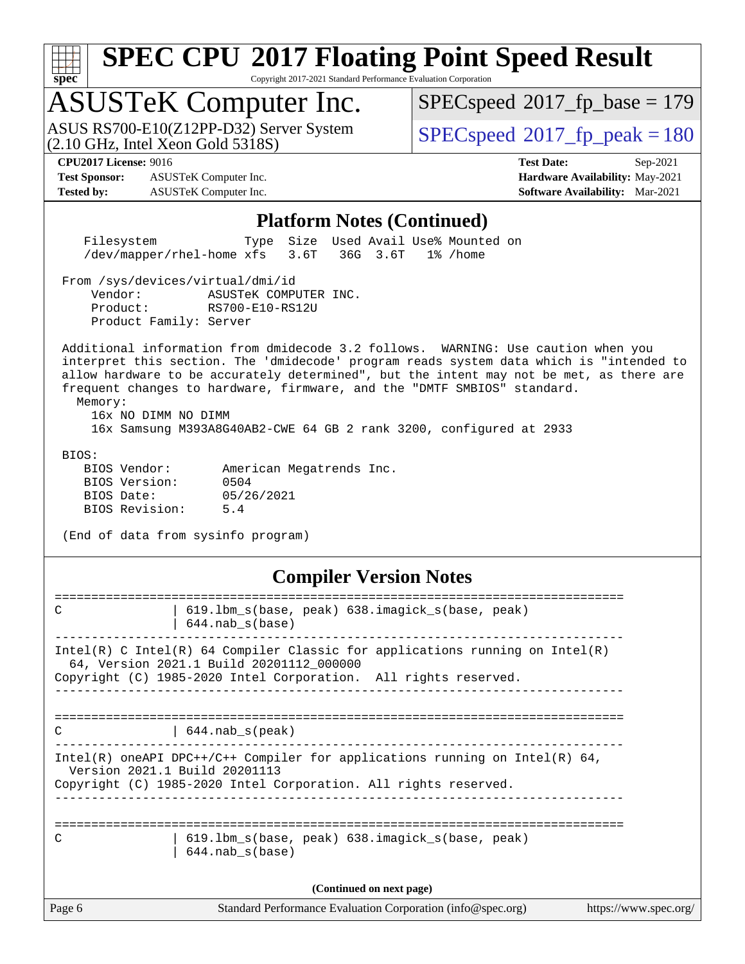| v.<br>t.<br>۱, |  |  |  |  |  |  |  |
|----------------|--|--|--|--|--|--|--|

Copyright 2017-2021 Standard Performance Evaluation Corporation

### ASUSTeK Computer Inc.

(2.10 GHz, Intel Xeon Gold 5318S) ASUS RS700-E10(Z12PP-D32) Server System  $SPECspeed@2017$  $SPECspeed@2017$  fp\_peak = 180

[SPECspeed](http://www.spec.org/auto/cpu2017/Docs/result-fields.html#SPECspeed2017fpbase)<sup>®</sup>2017 fp base = 179

**[Test Sponsor:](http://www.spec.org/auto/cpu2017/Docs/result-fields.html#TestSponsor)** ASUSTeK Computer Inc. **[Hardware Availability:](http://www.spec.org/auto/cpu2017/Docs/result-fields.html#HardwareAvailability)** May-2021 **[Tested by:](http://www.spec.org/auto/cpu2017/Docs/result-fields.html#Testedby)** ASUSTeK Computer Inc. **[Software Availability:](http://www.spec.org/auto/cpu2017/Docs/result-fields.html#SoftwareAvailability)** Mar-2021

**[CPU2017 License:](http://www.spec.org/auto/cpu2017/Docs/result-fields.html#CPU2017License)** 9016 **[Test Date:](http://www.spec.org/auto/cpu2017/Docs/result-fields.html#TestDate)** Sep-2021

#### **[Platform Notes \(Continued\)](http://www.spec.org/auto/cpu2017/Docs/result-fields.html#PlatformNotes)**

 Filesystem Type Size Used Avail Use% Mounted on /dev/mapper/rhel-home xfs 3.6T 36G 3.6T 1% /home

From /sys/devices/virtual/dmi/id

 Vendor: ASUSTeK COMPUTER INC. Product: RS700-E10-RS12U Product Family: Server

 Additional information from dmidecode 3.2 follows. WARNING: Use caution when you interpret this section. The 'dmidecode' program reads system data which is "intended to allow hardware to be accurately determined", but the intent may not be met, as there are frequent changes to hardware, firmware, and the "DMTF SMBIOS" standard.

 Memory: 16x NO DIMM NO DIMM

16x Samsung M393A8G40AB2-CWE 64 GB 2 rank 3200, configured at 2933

BIOS:

| BIOS Vendor:   |            | American Megatrends Inc. |  |
|----------------|------------|--------------------------|--|
| BIOS Version:  | 0504       |                          |  |
| BIOS Date:     | 05/26/2021 |                          |  |
| BIOS Revision: | 5.4        |                          |  |

(End of data from sysinfo program)

#### **[Compiler Version Notes](http://www.spec.org/auto/cpu2017/Docs/result-fields.html#CompilerVersionNotes)**

| Page 6        | Standard Performance Evaluation Corporation (info@spec.org)                                                                                                                                   | https://www.spec.org/ |
|---------------|-----------------------------------------------------------------------------------------------------------------------------------------------------------------------------------------------|-----------------------|
|               | (Continued on next page)                                                                                                                                                                      |                       |
| $\mathcal{C}$ | 619.1bm s(base, peak) 638.imagick s(base, peak)<br>$644$ .nab s(base)                                                                                                                         |                       |
|               | Intel(R) oneAPI DPC++/C++ Compiler for applications running on Intel(R) $64$ ,<br>Version 2021.1 Build 20201113<br>Copyright (C) 1985-2020 Intel Corporation. All rights reserved.            |                       |
| C             | $644$ .nab s(peak)                                                                                                                                                                            |                       |
|               | $Intel(R)$ C Intel(R) 64 Compiler Classic for applications running on Intel(R)<br>64, Version 2021.1 Build 20201112 000000<br>Copyright (C) 1985-2020 Intel Corporation. All rights reserved. |                       |
| C             | 619.1bm s(base, peak) 638.imagick s(base, peak)<br>644.nab s(base)                                                                                                                            |                       |
|               |                                                                                                                                                                                               |                       |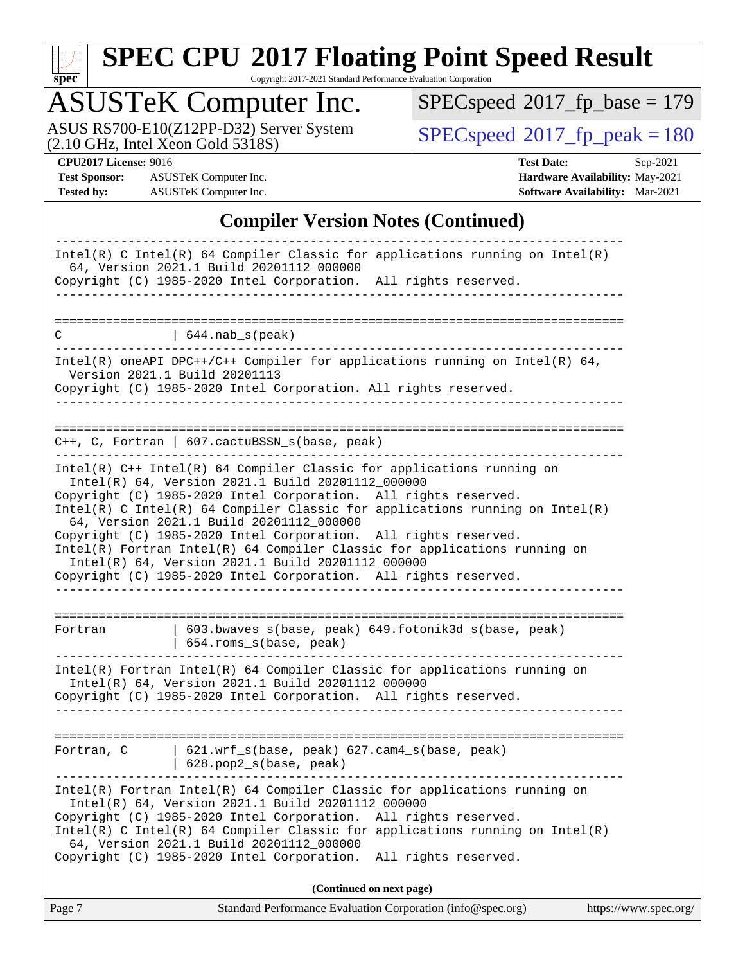

Copyright 2017-2021 Standard Performance Evaluation Corporation

### ASUSTeK Computer Inc.

ASUS RS700-E10(Z12PP-D32) Server System  $(2.10 \text{ GHz}, \text{ Intel Xeon Gold } 5318S)$   $\big| \text{ SPECspeed}^{\circ}2017 \text{ _fp\_peak} = 180$  $\big| \text{ SPECspeed}^{\circ}2017 \text{ _fp\_peak} = 180$  $\big| \text{ SPECspeed}^{\circ}2017 \text{ _fp\_peak} = 180$ 

 $SPEC speed$ <sup>®</sup> $2017$ \_fp\_base = 179

**[Test Sponsor:](http://www.spec.org/auto/cpu2017/Docs/result-fields.html#TestSponsor)** ASUSTeK Computer Inc. **[Hardware Availability:](http://www.spec.org/auto/cpu2017/Docs/result-fields.html#HardwareAvailability)** May-2021 **[Tested by:](http://www.spec.org/auto/cpu2017/Docs/result-fields.html#Testedby)** ASUSTeK Computer Inc. **[Software Availability:](http://www.spec.org/auto/cpu2017/Docs/result-fields.html#SoftwareAvailability)** Mar-2021

**[CPU2017 License:](http://www.spec.org/auto/cpu2017/Docs/result-fields.html#CPU2017License)** 9016 **[Test Date:](http://www.spec.org/auto/cpu2017/Docs/result-fields.html#TestDate)** Sep-2021

### **[Compiler Version Notes \(Continued\)](http://www.spec.org/auto/cpu2017/Docs/result-fields.html#CompilerVersionNotes)**

| Page 7                        |                                                                                                                                                                                                                                     | Standard Performance Evaluation Corporation (info@spec.org)                                                                                                                         | https://www.spec.org/ |
|-------------------------------|-------------------------------------------------------------------------------------------------------------------------------------------------------------------------------------------------------------------------------------|-------------------------------------------------------------------------------------------------------------------------------------------------------------------------------------|-----------------------|
|                               |                                                                                                                                                                                                                                     | (Continued on next page)                                                                                                                                                            |                       |
|                               | Intel(R) 64, Version 2021.1 Build 20201112_000000<br>Copyright (C) 1985-2020 Intel Corporation. All rights reserved.<br>64, Version 2021.1 Build 20201112_000000<br>Copyright (C) 1985-2020 Intel Corporation.                      | Intel(R) Fortran Intel(R) 64 Compiler Classic for applications running on<br>$Intel(R)$ C Intel(R) 64 Compiler Classic for applications running on Intel(R)<br>All rights reserved. |                       |
| Fortran, C                    | 621.wrf_s(base, peak) 627.cam4_s(base, peak)<br>$628.$ pop2_s(base, peak)                                                                                                                                                           |                                                                                                                                                                                     |                       |
|                               |                                                                                                                                                                                                                                     |                                                                                                                                                                                     |                       |
|                               | Intel(R) 64, Version 2021.1 Build 20201112_000000<br>Copyright (C) 1985-2020 Intel Corporation. All rights reserved.                                                                                                                | Intel(R) Fortran Intel(R) 64 Compiler Classic for applications running on                                                                                                           |                       |
| Fortran                       | 654.roms_s(base, peak)                                                                                                                                                                                                              | 603.bwaves_s(base, peak) 649.fotonik3d_s(base, peak)                                                                                                                                |                       |
|                               |                                                                                                                                                                                                                                     |                                                                                                                                                                                     |                       |
|                               | 64, Version 2021.1 Build 20201112 000000<br>Copyright (C) 1985-2020 Intel Corporation. All rights reserved.<br>Intel(R) 64, Version 2021.1 Build 20201112_000000<br>Copyright (C) 1985-2020 Intel Corporation. All rights reserved. | Intel(R) Fortran Intel(R) 64 Compiler Classic for applications running on                                                                                                           |                       |
|                               | Copyright (C) 1985-2020 Intel Corporation. All rights reserved.                                                                                                                                                                     | $Intel(R)$ C Intel(R) 64 Compiler Classic for applications running on Intel(R)                                                                                                      |                       |
|                               | Intel(R) 64, Version 2021.1 Build 20201112 000000                                                                                                                                                                                   | $Intel(R)$ C++ Intel(R) 64 Compiler Classic for applications running on                                                                                                             |                       |
|                               | $C++$ , C, Fortran   607.cactuBSSN_s(base, peak)                                                                                                                                                                                    |                                                                                                                                                                                     |                       |
|                               |                                                                                                                                                                                                                                     |                                                                                                                                                                                     |                       |
| Version 2021.1 Build 20201113 | Copyright (C) 1985-2020 Intel Corporation. All rights reserved.                                                                                                                                                                     | Intel(R) oneAPI DPC++/C++ Compiler for applications running on Intel(R) $64$ ,                                                                                                      |                       |
| С                             | $\vert$ 644. nab_s(peak)                                                                                                                                                                                                            | ____________________________                                                                                                                                                        |                       |
|                               |                                                                                                                                                                                                                                     |                                                                                                                                                                                     |                       |
|                               | Copyright (C) 1985-2020 Intel Corporation. All rights reserved.                                                                                                                                                                     |                                                                                                                                                                                     |                       |
|                               | 64, Version 2021.1 Build 20201112_000000                                                                                                                                                                                            | Intel(R) C Intel(R) 64 Compiler Classic for applications running on Intel(R)                                                                                                        |                       |
|                               |                                                                                                                                                                                                                                     |                                                                                                                                                                                     |                       |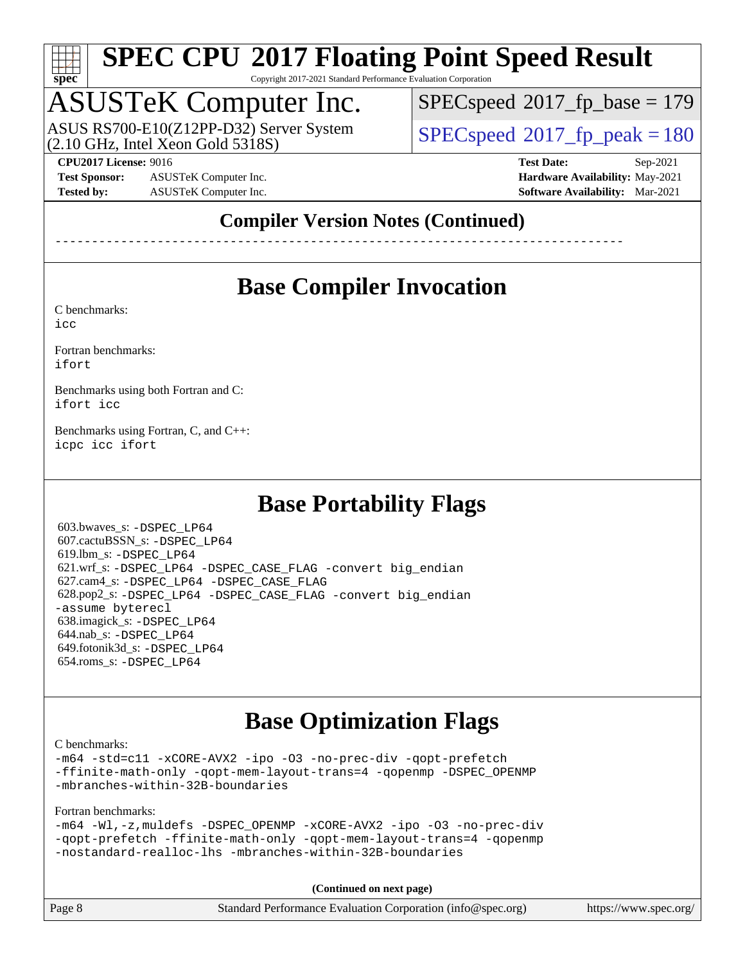

Copyright 2017-2021 Standard Performance Evaluation Corporation

### ASUSTeK Computer Inc.

 $(2.10$  GHz, Intel Xeon Gold  $5318S$ ) ASUS RS700-E10(Z12PP-D32) Server System [SPECspeed](http://www.spec.org/auto/cpu2017/Docs/result-fields.html#SPECspeed2017fppeak)<sup>®</sup>2017 fp\_peak = 180

[SPECspeed](http://www.spec.org/auto/cpu2017/Docs/result-fields.html#SPECspeed2017fpbase)<sup>®</sup>2017 fp base = 179

**[Test Sponsor:](http://www.spec.org/auto/cpu2017/Docs/result-fields.html#TestSponsor)** ASUSTeK Computer Inc. **[Hardware Availability:](http://www.spec.org/auto/cpu2017/Docs/result-fields.html#HardwareAvailability)** May-2021 **[Tested by:](http://www.spec.org/auto/cpu2017/Docs/result-fields.html#Testedby)** ASUSTeK Computer Inc. **[Software Availability:](http://www.spec.org/auto/cpu2017/Docs/result-fields.html#SoftwareAvailability)** Mar-2021

**[CPU2017 License:](http://www.spec.org/auto/cpu2017/Docs/result-fields.html#CPU2017License)** 9016 **[Test Date:](http://www.spec.org/auto/cpu2017/Docs/result-fields.html#TestDate)** Sep-2021

### **[Compiler Version Notes \(Continued\)](http://www.spec.org/auto/cpu2017/Docs/result-fields.html#CompilerVersionNotes)**

------------------------------------------------------------------------------

### **[Base Compiler Invocation](http://www.spec.org/auto/cpu2017/Docs/result-fields.html#BaseCompilerInvocation)**

[C benchmarks](http://www.spec.org/auto/cpu2017/Docs/result-fields.html#Cbenchmarks):

[icc](http://www.spec.org/cpu2017/results/res2021q4/cpu2017-20210926-29536.flags.html#user_CCbase_intel_icc_66fc1ee009f7361af1fbd72ca7dcefbb700085f36577c54f309893dd4ec40d12360134090235512931783d35fd58c0460139e722d5067c5574d8eaf2b3e37e92)

[Fortran benchmarks](http://www.spec.org/auto/cpu2017/Docs/result-fields.html#Fortranbenchmarks): [ifort](http://www.spec.org/cpu2017/results/res2021q4/cpu2017-20210926-29536.flags.html#user_FCbase_intel_ifort_8111460550e3ca792625aed983ce982f94888b8b503583aa7ba2b8303487b4d8a21a13e7191a45c5fd58ff318f48f9492884d4413fa793fd88dd292cad7027ca)

[Benchmarks using both Fortran and C](http://www.spec.org/auto/cpu2017/Docs/result-fields.html#BenchmarksusingbothFortranandC): [ifort](http://www.spec.org/cpu2017/results/res2021q4/cpu2017-20210926-29536.flags.html#user_CC_FCbase_intel_ifort_8111460550e3ca792625aed983ce982f94888b8b503583aa7ba2b8303487b4d8a21a13e7191a45c5fd58ff318f48f9492884d4413fa793fd88dd292cad7027ca) [icc](http://www.spec.org/cpu2017/results/res2021q4/cpu2017-20210926-29536.flags.html#user_CC_FCbase_intel_icc_66fc1ee009f7361af1fbd72ca7dcefbb700085f36577c54f309893dd4ec40d12360134090235512931783d35fd58c0460139e722d5067c5574d8eaf2b3e37e92)

[Benchmarks using Fortran, C, and C++:](http://www.spec.org/auto/cpu2017/Docs/result-fields.html#BenchmarksusingFortranCandCXX) [icpc](http://www.spec.org/cpu2017/results/res2021q4/cpu2017-20210926-29536.flags.html#user_CC_CXX_FCbase_intel_icpc_c510b6838c7f56d33e37e94d029a35b4a7bccf4766a728ee175e80a419847e808290a9b78be685c44ab727ea267ec2f070ec5dc83b407c0218cded6866a35d07) [icc](http://www.spec.org/cpu2017/results/res2021q4/cpu2017-20210926-29536.flags.html#user_CC_CXX_FCbase_intel_icc_66fc1ee009f7361af1fbd72ca7dcefbb700085f36577c54f309893dd4ec40d12360134090235512931783d35fd58c0460139e722d5067c5574d8eaf2b3e37e92) [ifort](http://www.spec.org/cpu2017/results/res2021q4/cpu2017-20210926-29536.flags.html#user_CC_CXX_FCbase_intel_ifort_8111460550e3ca792625aed983ce982f94888b8b503583aa7ba2b8303487b4d8a21a13e7191a45c5fd58ff318f48f9492884d4413fa793fd88dd292cad7027ca)

### **[Base Portability Flags](http://www.spec.org/auto/cpu2017/Docs/result-fields.html#BasePortabilityFlags)**

 603.bwaves\_s: [-DSPEC\\_LP64](http://www.spec.org/cpu2017/results/res2021q4/cpu2017-20210926-29536.flags.html#suite_basePORTABILITY603_bwaves_s_DSPEC_LP64) 607.cactuBSSN\_s: [-DSPEC\\_LP64](http://www.spec.org/cpu2017/results/res2021q4/cpu2017-20210926-29536.flags.html#suite_basePORTABILITY607_cactuBSSN_s_DSPEC_LP64) 619.lbm\_s: [-DSPEC\\_LP64](http://www.spec.org/cpu2017/results/res2021q4/cpu2017-20210926-29536.flags.html#suite_basePORTABILITY619_lbm_s_DSPEC_LP64) 621.wrf\_s: [-DSPEC\\_LP64](http://www.spec.org/cpu2017/results/res2021q4/cpu2017-20210926-29536.flags.html#suite_basePORTABILITY621_wrf_s_DSPEC_LP64) [-DSPEC\\_CASE\\_FLAG](http://www.spec.org/cpu2017/results/res2021q4/cpu2017-20210926-29536.flags.html#b621.wrf_s_baseCPORTABILITY_DSPEC_CASE_FLAG) [-convert big\\_endian](http://www.spec.org/cpu2017/results/res2021q4/cpu2017-20210926-29536.flags.html#user_baseFPORTABILITY621_wrf_s_convert_big_endian_c3194028bc08c63ac5d04de18c48ce6d347e4e562e8892b8bdbdc0214820426deb8554edfa529a3fb25a586e65a3d812c835984020483e7e73212c4d31a38223) 627.cam4\_s: [-DSPEC\\_LP64](http://www.spec.org/cpu2017/results/res2021q4/cpu2017-20210926-29536.flags.html#suite_basePORTABILITY627_cam4_s_DSPEC_LP64) [-DSPEC\\_CASE\\_FLAG](http://www.spec.org/cpu2017/results/res2021q4/cpu2017-20210926-29536.flags.html#b627.cam4_s_baseCPORTABILITY_DSPEC_CASE_FLAG) 628.pop2\_s: [-DSPEC\\_LP64](http://www.spec.org/cpu2017/results/res2021q4/cpu2017-20210926-29536.flags.html#suite_basePORTABILITY628_pop2_s_DSPEC_LP64) [-DSPEC\\_CASE\\_FLAG](http://www.spec.org/cpu2017/results/res2021q4/cpu2017-20210926-29536.flags.html#b628.pop2_s_baseCPORTABILITY_DSPEC_CASE_FLAG) [-convert big\\_endian](http://www.spec.org/cpu2017/results/res2021q4/cpu2017-20210926-29536.flags.html#user_baseFPORTABILITY628_pop2_s_convert_big_endian_c3194028bc08c63ac5d04de18c48ce6d347e4e562e8892b8bdbdc0214820426deb8554edfa529a3fb25a586e65a3d812c835984020483e7e73212c4d31a38223) [-assume byterecl](http://www.spec.org/cpu2017/results/res2021q4/cpu2017-20210926-29536.flags.html#user_baseFPORTABILITY628_pop2_s_assume_byterecl_7e47d18b9513cf18525430bbf0f2177aa9bf368bc7a059c09b2c06a34b53bd3447c950d3f8d6c70e3faf3a05c8557d66a5798b567902e8849adc142926523472) 638.imagick\_s: [-DSPEC\\_LP64](http://www.spec.org/cpu2017/results/res2021q4/cpu2017-20210926-29536.flags.html#suite_basePORTABILITY638_imagick_s_DSPEC_LP64) 644.nab\_s: [-DSPEC\\_LP64](http://www.spec.org/cpu2017/results/res2021q4/cpu2017-20210926-29536.flags.html#suite_basePORTABILITY644_nab_s_DSPEC_LP64) 649.fotonik3d\_s: [-DSPEC\\_LP64](http://www.spec.org/cpu2017/results/res2021q4/cpu2017-20210926-29536.flags.html#suite_basePORTABILITY649_fotonik3d_s_DSPEC_LP64) 654.roms\_s: [-DSPEC\\_LP64](http://www.spec.org/cpu2017/results/res2021q4/cpu2017-20210926-29536.flags.html#suite_basePORTABILITY654_roms_s_DSPEC_LP64)

### **[Base Optimization Flags](http://www.spec.org/auto/cpu2017/Docs/result-fields.html#BaseOptimizationFlags)**

[C benchmarks](http://www.spec.org/auto/cpu2017/Docs/result-fields.html#Cbenchmarks):

[-m64](http://www.spec.org/cpu2017/results/res2021q4/cpu2017-20210926-29536.flags.html#user_CCbase_m64-icc) [-std=c11](http://www.spec.org/cpu2017/results/res2021q4/cpu2017-20210926-29536.flags.html#user_CCbase_std-icc-std_0e1c27790398a4642dfca32ffe6c27b5796f9c2d2676156f2e42c9c44eaad0c049b1cdb667a270c34d979996257aeb8fc440bfb01818dbc9357bd9d174cb8524) [-xCORE-AVX2](http://www.spec.org/cpu2017/results/res2021q4/cpu2017-20210926-29536.flags.html#user_CCbase_f-xCORE-AVX2) [-ipo](http://www.spec.org/cpu2017/results/res2021q4/cpu2017-20210926-29536.flags.html#user_CCbase_f-ipo) [-O3](http://www.spec.org/cpu2017/results/res2021q4/cpu2017-20210926-29536.flags.html#user_CCbase_f-O3) [-no-prec-div](http://www.spec.org/cpu2017/results/res2021q4/cpu2017-20210926-29536.flags.html#user_CCbase_f-no-prec-div) [-qopt-prefetch](http://www.spec.org/cpu2017/results/res2021q4/cpu2017-20210926-29536.flags.html#user_CCbase_f-qopt-prefetch) [-ffinite-math-only](http://www.spec.org/cpu2017/results/res2021q4/cpu2017-20210926-29536.flags.html#user_CCbase_f_finite_math_only_cb91587bd2077682c4b38af759c288ed7c732db004271a9512da14a4f8007909a5f1427ecbf1a0fb78ff2a814402c6114ac565ca162485bbcae155b5e4258871) [-qopt-mem-layout-trans=4](http://www.spec.org/cpu2017/results/res2021q4/cpu2017-20210926-29536.flags.html#user_CCbase_f-qopt-mem-layout-trans_fa39e755916c150a61361b7846f310bcdf6f04e385ef281cadf3647acec3f0ae266d1a1d22d972a7087a248fd4e6ca390a3634700869573d231a252c784941a8) [-qopenmp](http://www.spec.org/cpu2017/results/res2021q4/cpu2017-20210926-29536.flags.html#user_CCbase_qopenmp_16be0c44f24f464004c6784a7acb94aca937f053568ce72f94b139a11c7c168634a55f6653758ddd83bcf7b8463e8028bb0b48b77bcddc6b78d5d95bb1df2967) [-DSPEC\\_OPENMP](http://www.spec.org/cpu2017/results/res2021q4/cpu2017-20210926-29536.flags.html#suite_CCbase_DSPEC_OPENMP) [-mbranches-within-32B-boundaries](http://www.spec.org/cpu2017/results/res2021q4/cpu2017-20210926-29536.flags.html#user_CCbase_f-mbranches-within-32B-boundaries)

#### [Fortran benchmarks](http://www.spec.org/auto/cpu2017/Docs/result-fields.html#Fortranbenchmarks):

|  |  | -m64 -Wl,-z, muldefs -DSPEC OPENMP -xCORE-AVX2 -ipo -03 -no-prec-div |  |  |  |
|--|--|----------------------------------------------------------------------|--|--|--|
|  |  | -gopt-prefetch -ffinite-math-only -gopt-mem-layout-trans=4 -gopenmp  |  |  |  |
|  |  | -nostandard-realloc-lhs -mbranches-within-32B-boundaries             |  |  |  |

**(Continued on next page)**

| Page 8 | Standard Performance Evaluation Corporation (info@spec.org) | https://www.spec.org/ |
|--------|-------------------------------------------------------------|-----------------------|
|        |                                                             |                       |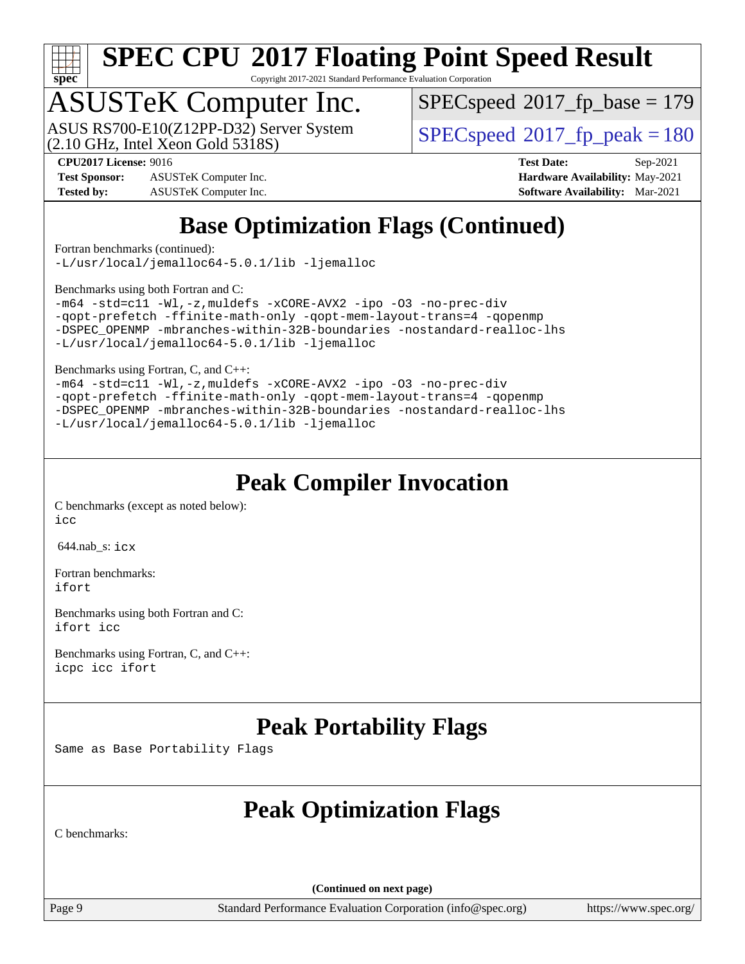

Copyright 2017-2021 Standard Performance Evaluation Corporation

### ASUSTeK Computer Inc.

(2.10 GHz, Intel Xeon Gold 5318S) ASUS RS700-E10(Z12PP-D32) Server System  $SPECspeed@2017$  $SPECspeed@2017$  fp\_peak = 180

[SPECspeed](http://www.spec.org/auto/cpu2017/Docs/result-fields.html#SPECspeed2017fpbase)<sup>®</sup>2017 fp base = 179

**[Test Sponsor:](http://www.spec.org/auto/cpu2017/Docs/result-fields.html#TestSponsor)** ASUSTeK Computer Inc. **[Hardware Availability:](http://www.spec.org/auto/cpu2017/Docs/result-fields.html#HardwareAvailability)** May-2021 **[Tested by:](http://www.spec.org/auto/cpu2017/Docs/result-fields.html#Testedby)** ASUSTeK Computer Inc. **[Software Availability:](http://www.spec.org/auto/cpu2017/Docs/result-fields.html#SoftwareAvailability)** Mar-2021

**[CPU2017 License:](http://www.spec.org/auto/cpu2017/Docs/result-fields.html#CPU2017License)** 9016 **[Test Date:](http://www.spec.org/auto/cpu2017/Docs/result-fields.html#TestDate)** Sep-2021

### **[Base Optimization Flags \(Continued\)](http://www.spec.org/auto/cpu2017/Docs/result-fields.html#BaseOptimizationFlags)**

[Fortran benchmarks](http://www.spec.org/auto/cpu2017/Docs/result-fields.html#Fortranbenchmarks) (continued):

[-L/usr/local/jemalloc64-5.0.1/lib](http://www.spec.org/cpu2017/results/res2021q4/cpu2017-20210926-29536.flags.html#user_FCbase_jemalloc_link_path64_1_cc289568b1a6c0fd3b62c91b824c27fcb5af5e8098e6ad028160d21144ef1b8aef3170d2acf0bee98a8da324cfe4f67d0a3d0c4cc4673d993d694dc2a0df248b) [-ljemalloc](http://www.spec.org/cpu2017/results/res2021q4/cpu2017-20210926-29536.flags.html#user_FCbase_jemalloc_link_lib_d1249b907c500fa1c0672f44f562e3d0f79738ae9e3c4a9c376d49f265a04b9c99b167ecedbf6711b3085be911c67ff61f150a17b3472be731631ba4d0471706)

[Benchmarks using both Fortran and C](http://www.spec.org/auto/cpu2017/Docs/result-fields.html#BenchmarksusingbothFortranandC):

[-m64](http://www.spec.org/cpu2017/results/res2021q4/cpu2017-20210926-29536.flags.html#user_CC_FCbase_m64-icc) [-std=c11](http://www.spec.org/cpu2017/results/res2021q4/cpu2017-20210926-29536.flags.html#user_CC_FCbase_std-icc-std_0e1c27790398a4642dfca32ffe6c27b5796f9c2d2676156f2e42c9c44eaad0c049b1cdb667a270c34d979996257aeb8fc440bfb01818dbc9357bd9d174cb8524) [-Wl,-z,muldefs](http://www.spec.org/cpu2017/results/res2021q4/cpu2017-20210926-29536.flags.html#user_CC_FCbase_link_force_multiple1_b4cbdb97b34bdee9ceefcfe54f4c8ea74255f0b02a4b23e853cdb0e18eb4525ac79b5a88067c842dd0ee6996c24547a27a4b99331201badda8798ef8a743f577) [-xCORE-AVX2](http://www.spec.org/cpu2017/results/res2021q4/cpu2017-20210926-29536.flags.html#user_CC_FCbase_f-xCORE-AVX2) [-ipo](http://www.spec.org/cpu2017/results/res2021q4/cpu2017-20210926-29536.flags.html#user_CC_FCbase_f-ipo) [-O3](http://www.spec.org/cpu2017/results/res2021q4/cpu2017-20210926-29536.flags.html#user_CC_FCbase_f-O3) [-no-prec-div](http://www.spec.org/cpu2017/results/res2021q4/cpu2017-20210926-29536.flags.html#user_CC_FCbase_f-no-prec-div) [-qopt-prefetch](http://www.spec.org/cpu2017/results/res2021q4/cpu2017-20210926-29536.flags.html#user_CC_FCbase_f-qopt-prefetch) [-ffinite-math-only](http://www.spec.org/cpu2017/results/res2021q4/cpu2017-20210926-29536.flags.html#user_CC_FCbase_f_finite_math_only_cb91587bd2077682c4b38af759c288ed7c732db004271a9512da14a4f8007909a5f1427ecbf1a0fb78ff2a814402c6114ac565ca162485bbcae155b5e4258871) [-qopt-mem-layout-trans=4](http://www.spec.org/cpu2017/results/res2021q4/cpu2017-20210926-29536.flags.html#user_CC_FCbase_f-qopt-mem-layout-trans_fa39e755916c150a61361b7846f310bcdf6f04e385ef281cadf3647acec3f0ae266d1a1d22d972a7087a248fd4e6ca390a3634700869573d231a252c784941a8) [-qopenmp](http://www.spec.org/cpu2017/results/res2021q4/cpu2017-20210926-29536.flags.html#user_CC_FCbase_qopenmp_16be0c44f24f464004c6784a7acb94aca937f053568ce72f94b139a11c7c168634a55f6653758ddd83bcf7b8463e8028bb0b48b77bcddc6b78d5d95bb1df2967) [-DSPEC\\_OPENMP](http://www.spec.org/cpu2017/results/res2021q4/cpu2017-20210926-29536.flags.html#suite_CC_FCbase_DSPEC_OPENMP) [-mbranches-within-32B-boundaries](http://www.spec.org/cpu2017/results/res2021q4/cpu2017-20210926-29536.flags.html#user_CC_FCbase_f-mbranches-within-32B-boundaries) [-nostandard-realloc-lhs](http://www.spec.org/cpu2017/results/res2021q4/cpu2017-20210926-29536.flags.html#user_CC_FCbase_f_2003_std_realloc_82b4557e90729c0f113870c07e44d33d6f5a304b4f63d4c15d2d0f1fab99f5daaed73bdb9275d9ae411527f28b936061aa8b9c8f2d63842963b95c9dd6426b8a) [-L/usr/local/jemalloc64-5.0.1/lib](http://www.spec.org/cpu2017/results/res2021q4/cpu2017-20210926-29536.flags.html#user_CC_FCbase_jemalloc_link_path64_1_cc289568b1a6c0fd3b62c91b824c27fcb5af5e8098e6ad028160d21144ef1b8aef3170d2acf0bee98a8da324cfe4f67d0a3d0c4cc4673d993d694dc2a0df248b) [-ljemalloc](http://www.spec.org/cpu2017/results/res2021q4/cpu2017-20210926-29536.flags.html#user_CC_FCbase_jemalloc_link_lib_d1249b907c500fa1c0672f44f562e3d0f79738ae9e3c4a9c376d49f265a04b9c99b167ecedbf6711b3085be911c67ff61f150a17b3472be731631ba4d0471706)

[Benchmarks using Fortran, C, and C++:](http://www.spec.org/auto/cpu2017/Docs/result-fields.html#BenchmarksusingFortranCandCXX)

[-m64](http://www.spec.org/cpu2017/results/res2021q4/cpu2017-20210926-29536.flags.html#user_CC_CXX_FCbase_m64-icc) [-std=c11](http://www.spec.org/cpu2017/results/res2021q4/cpu2017-20210926-29536.flags.html#user_CC_CXX_FCbase_std-icc-std_0e1c27790398a4642dfca32ffe6c27b5796f9c2d2676156f2e42c9c44eaad0c049b1cdb667a270c34d979996257aeb8fc440bfb01818dbc9357bd9d174cb8524) [-Wl,-z,muldefs](http://www.spec.org/cpu2017/results/res2021q4/cpu2017-20210926-29536.flags.html#user_CC_CXX_FCbase_link_force_multiple1_b4cbdb97b34bdee9ceefcfe54f4c8ea74255f0b02a4b23e853cdb0e18eb4525ac79b5a88067c842dd0ee6996c24547a27a4b99331201badda8798ef8a743f577) [-xCORE-AVX2](http://www.spec.org/cpu2017/results/res2021q4/cpu2017-20210926-29536.flags.html#user_CC_CXX_FCbase_f-xCORE-AVX2) [-ipo](http://www.spec.org/cpu2017/results/res2021q4/cpu2017-20210926-29536.flags.html#user_CC_CXX_FCbase_f-ipo) [-O3](http://www.spec.org/cpu2017/results/res2021q4/cpu2017-20210926-29536.flags.html#user_CC_CXX_FCbase_f-O3) [-no-prec-div](http://www.spec.org/cpu2017/results/res2021q4/cpu2017-20210926-29536.flags.html#user_CC_CXX_FCbase_f-no-prec-div) [-qopt-prefetch](http://www.spec.org/cpu2017/results/res2021q4/cpu2017-20210926-29536.flags.html#user_CC_CXX_FCbase_f-qopt-prefetch) [-ffinite-math-only](http://www.spec.org/cpu2017/results/res2021q4/cpu2017-20210926-29536.flags.html#user_CC_CXX_FCbase_f_finite_math_only_cb91587bd2077682c4b38af759c288ed7c732db004271a9512da14a4f8007909a5f1427ecbf1a0fb78ff2a814402c6114ac565ca162485bbcae155b5e4258871) [-qopt-mem-layout-trans=4](http://www.spec.org/cpu2017/results/res2021q4/cpu2017-20210926-29536.flags.html#user_CC_CXX_FCbase_f-qopt-mem-layout-trans_fa39e755916c150a61361b7846f310bcdf6f04e385ef281cadf3647acec3f0ae266d1a1d22d972a7087a248fd4e6ca390a3634700869573d231a252c784941a8) [-qopenmp](http://www.spec.org/cpu2017/results/res2021q4/cpu2017-20210926-29536.flags.html#user_CC_CXX_FCbase_qopenmp_16be0c44f24f464004c6784a7acb94aca937f053568ce72f94b139a11c7c168634a55f6653758ddd83bcf7b8463e8028bb0b48b77bcddc6b78d5d95bb1df2967) [-DSPEC\\_OPENMP](http://www.spec.org/cpu2017/results/res2021q4/cpu2017-20210926-29536.flags.html#suite_CC_CXX_FCbase_DSPEC_OPENMP) [-mbranches-within-32B-boundaries](http://www.spec.org/cpu2017/results/res2021q4/cpu2017-20210926-29536.flags.html#user_CC_CXX_FCbase_f-mbranches-within-32B-boundaries) [-nostandard-realloc-lhs](http://www.spec.org/cpu2017/results/res2021q4/cpu2017-20210926-29536.flags.html#user_CC_CXX_FCbase_f_2003_std_realloc_82b4557e90729c0f113870c07e44d33d6f5a304b4f63d4c15d2d0f1fab99f5daaed73bdb9275d9ae411527f28b936061aa8b9c8f2d63842963b95c9dd6426b8a) [-L/usr/local/jemalloc64-5.0.1/lib](http://www.spec.org/cpu2017/results/res2021q4/cpu2017-20210926-29536.flags.html#user_CC_CXX_FCbase_jemalloc_link_path64_1_cc289568b1a6c0fd3b62c91b824c27fcb5af5e8098e6ad028160d21144ef1b8aef3170d2acf0bee98a8da324cfe4f67d0a3d0c4cc4673d993d694dc2a0df248b) [-ljemalloc](http://www.spec.org/cpu2017/results/res2021q4/cpu2017-20210926-29536.flags.html#user_CC_CXX_FCbase_jemalloc_link_lib_d1249b907c500fa1c0672f44f562e3d0f79738ae9e3c4a9c376d49f265a04b9c99b167ecedbf6711b3085be911c67ff61f150a17b3472be731631ba4d0471706)

### **[Peak Compiler Invocation](http://www.spec.org/auto/cpu2017/Docs/result-fields.html#PeakCompilerInvocation)**

[C benchmarks \(except as noted below\)](http://www.spec.org/auto/cpu2017/Docs/result-fields.html#Cbenchmarksexceptasnotedbelow): [icc](http://www.spec.org/cpu2017/results/res2021q4/cpu2017-20210926-29536.flags.html#user_CCpeak_intel_icc_66fc1ee009f7361af1fbd72ca7dcefbb700085f36577c54f309893dd4ec40d12360134090235512931783d35fd58c0460139e722d5067c5574d8eaf2b3e37e92)

644.nab  $s: icx$  $s: icx$ 

[Fortran benchmarks](http://www.spec.org/auto/cpu2017/Docs/result-fields.html#Fortranbenchmarks): [ifort](http://www.spec.org/cpu2017/results/res2021q4/cpu2017-20210926-29536.flags.html#user_FCpeak_intel_ifort_8111460550e3ca792625aed983ce982f94888b8b503583aa7ba2b8303487b4d8a21a13e7191a45c5fd58ff318f48f9492884d4413fa793fd88dd292cad7027ca)

[Benchmarks using both Fortran and C](http://www.spec.org/auto/cpu2017/Docs/result-fields.html#BenchmarksusingbothFortranandC): [ifort](http://www.spec.org/cpu2017/results/res2021q4/cpu2017-20210926-29536.flags.html#user_CC_FCpeak_intel_ifort_8111460550e3ca792625aed983ce982f94888b8b503583aa7ba2b8303487b4d8a21a13e7191a45c5fd58ff318f48f9492884d4413fa793fd88dd292cad7027ca) [icc](http://www.spec.org/cpu2017/results/res2021q4/cpu2017-20210926-29536.flags.html#user_CC_FCpeak_intel_icc_66fc1ee009f7361af1fbd72ca7dcefbb700085f36577c54f309893dd4ec40d12360134090235512931783d35fd58c0460139e722d5067c5574d8eaf2b3e37e92)

[Benchmarks using Fortran, C, and C++:](http://www.spec.org/auto/cpu2017/Docs/result-fields.html#BenchmarksusingFortranCandCXX) [icpc](http://www.spec.org/cpu2017/results/res2021q4/cpu2017-20210926-29536.flags.html#user_CC_CXX_FCpeak_intel_icpc_c510b6838c7f56d33e37e94d029a35b4a7bccf4766a728ee175e80a419847e808290a9b78be685c44ab727ea267ec2f070ec5dc83b407c0218cded6866a35d07) [icc](http://www.spec.org/cpu2017/results/res2021q4/cpu2017-20210926-29536.flags.html#user_CC_CXX_FCpeak_intel_icc_66fc1ee009f7361af1fbd72ca7dcefbb700085f36577c54f309893dd4ec40d12360134090235512931783d35fd58c0460139e722d5067c5574d8eaf2b3e37e92) [ifort](http://www.spec.org/cpu2017/results/res2021q4/cpu2017-20210926-29536.flags.html#user_CC_CXX_FCpeak_intel_ifort_8111460550e3ca792625aed983ce982f94888b8b503583aa7ba2b8303487b4d8a21a13e7191a45c5fd58ff318f48f9492884d4413fa793fd88dd292cad7027ca)

### **[Peak Portability Flags](http://www.spec.org/auto/cpu2017/Docs/result-fields.html#PeakPortabilityFlags)**

Same as Base Portability Flags

### **[Peak Optimization Flags](http://www.spec.org/auto/cpu2017/Docs/result-fields.html#PeakOptimizationFlags)**

[C benchmarks](http://www.spec.org/auto/cpu2017/Docs/result-fields.html#Cbenchmarks):

**(Continued on next page)**

Page 9 Standard Performance Evaluation Corporation [\(info@spec.org\)](mailto:info@spec.org) <https://www.spec.org/>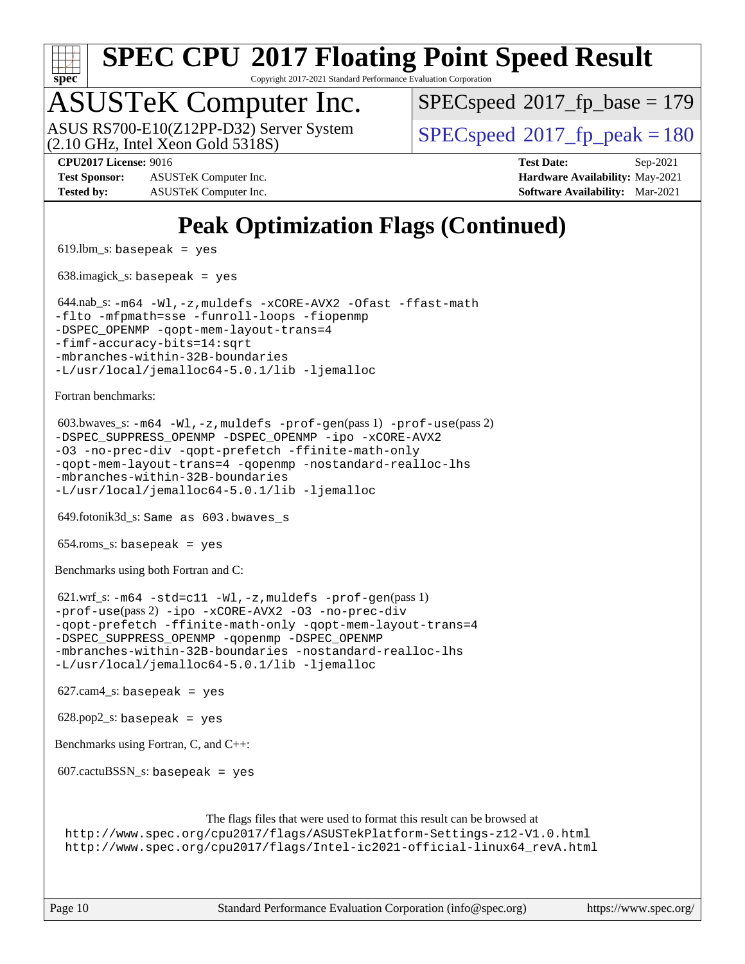

Copyright 2017-2021 Standard Performance Evaluation Corporation

### ASUSTeK Computer Inc.

(2.10 GHz, Intel Xeon Gold 5318S) ASUS RS700-E10(Z12PP-D32) Server System  $SPECspeed@2017$  $SPECspeed@2017$  fp\_peak = 180

[SPECspeed](http://www.spec.org/auto/cpu2017/Docs/result-fields.html#SPECspeed2017fpbase)<sup>®</sup>2017 fp base = 179

**[Test Sponsor:](http://www.spec.org/auto/cpu2017/Docs/result-fields.html#TestSponsor)** ASUSTeK Computer Inc. **[Hardware Availability:](http://www.spec.org/auto/cpu2017/Docs/result-fields.html#HardwareAvailability)** May-2021 **[Tested by:](http://www.spec.org/auto/cpu2017/Docs/result-fields.html#Testedby)** ASUSTeK Computer Inc. **[Software Availability:](http://www.spec.org/auto/cpu2017/Docs/result-fields.html#SoftwareAvailability)** Mar-2021

**[CPU2017 License:](http://www.spec.org/auto/cpu2017/Docs/result-fields.html#CPU2017License)** 9016 **[Test Date:](http://www.spec.org/auto/cpu2017/Docs/result-fields.html#TestDate)** Sep-2021

### **[Peak Optimization Flags \(Continued\)](http://www.spec.org/auto/cpu2017/Docs/result-fields.html#PeakOptimizationFlags)**

 $619.$ lbm\_s: basepeak = yes

638.imagick\_s: basepeak = yes

```
 644.nab_s: -m64 -Wl,-z,muldefs -xCORE-AVX2 -Ofast -ffast-math
-flto -mfpmath=sse -funroll-loops -fiopenmp
-qopt-mem-layout-trans=4
-fimf-accuracy-bits=14:sqrt
-mbranches-within-32B-boundaries
-L/usr/local/jemalloc64-5.0.1/lib -ljemalloc
```
[Fortran benchmarks](http://www.spec.org/auto/cpu2017/Docs/result-fields.html#Fortranbenchmarks):

```
 603.bwaves_s: -m64 -Wl,-z,muldefs -prof-gen(pass 1) -prof-use(pass 2)
-DSPEC_SUPPRESS_OPENMP -DSPEC_OPENMP -ipo -xCORE-AVX2
-O3 -no-prec-div -qopt-prefetch -ffinite-math-only
-qopt-mem-layout-trans=4 -qopenmp -nostandard-realloc-lhs
-mbranches-within-32B-boundaries
-L/usr/local/jemalloc64-5.0.1/lib -ljemalloc
```
649.fotonik3d\_s: Same as 603.bwaves\_s

654.roms\_s: basepeak = yes

[Benchmarks using both Fortran and C](http://www.spec.org/auto/cpu2017/Docs/result-fields.html#BenchmarksusingbothFortranandC):

 621.wrf\_s: [-m64](http://www.spec.org/cpu2017/results/res2021q4/cpu2017-20210926-29536.flags.html#user_peakCCFCLD621_wrf_s_m64-icc) [-std=c11](http://www.spec.org/cpu2017/results/res2021q4/cpu2017-20210926-29536.flags.html#user_peakCC621_wrf_s_std-icc-std_0e1c27790398a4642dfca32ffe6c27b5796f9c2d2676156f2e42c9c44eaad0c049b1cdb667a270c34d979996257aeb8fc440bfb01818dbc9357bd9d174cb8524) [-Wl,-z,muldefs](http://www.spec.org/cpu2017/results/res2021q4/cpu2017-20210926-29536.flags.html#user_peakEXTRA_LDFLAGS621_wrf_s_link_force_multiple1_b4cbdb97b34bdee9ceefcfe54f4c8ea74255f0b02a4b23e853cdb0e18eb4525ac79b5a88067c842dd0ee6996c24547a27a4b99331201badda8798ef8a743f577) [-prof-gen](http://www.spec.org/cpu2017/results/res2021q4/cpu2017-20210926-29536.flags.html#user_peakPASS1_CFLAGSPASS1_FFLAGSPASS1_LDFLAGS621_wrf_s_prof_gen_5aa4926d6013ddb2a31985c654b3eb18169fc0c6952a63635c234f711e6e63dd76e94ad52365559451ec499a2cdb89e4dc58ba4c67ef54ca681ffbe1461d6b36)(pass 1) [-prof-use](http://www.spec.org/cpu2017/results/res2021q4/cpu2017-20210926-29536.flags.html#user_peakPASS2_CFLAGSPASS2_FFLAGSPASS2_LDFLAGS621_wrf_s_prof_use_1a21ceae95f36a2b53c25747139a6c16ca95bd9def2a207b4f0849963b97e94f5260e30a0c64f4bb623698870e679ca08317ef8150905d41bd88c6f78df73f19)(pass 2) [-ipo](http://www.spec.org/cpu2017/results/res2021q4/cpu2017-20210926-29536.flags.html#user_peakPASS1_COPTIMIZEPASS1_FOPTIMIZEPASS2_COPTIMIZEPASS2_FOPTIMIZE621_wrf_s_f-ipo) [-xCORE-AVX2](http://www.spec.org/cpu2017/results/res2021q4/cpu2017-20210926-29536.flags.html#user_peakPASS2_COPTIMIZEPASS2_FOPTIMIZE621_wrf_s_f-xCORE-AVX2) [-O3](http://www.spec.org/cpu2017/results/res2021q4/cpu2017-20210926-29536.flags.html#user_peakPASS1_COPTIMIZEPASS1_FOPTIMIZEPASS2_COPTIMIZEPASS2_FOPTIMIZE621_wrf_s_f-O3) [-no-prec-div](http://www.spec.org/cpu2017/results/res2021q4/cpu2017-20210926-29536.flags.html#user_peakPASS1_COPTIMIZEPASS1_FOPTIMIZEPASS2_COPTIMIZEPASS2_FOPTIMIZE621_wrf_s_f-no-prec-div) [-qopt-prefetch](http://www.spec.org/cpu2017/results/res2021q4/cpu2017-20210926-29536.flags.html#user_peakPASS1_COPTIMIZEPASS1_FOPTIMIZEPASS2_COPTIMIZEPASS2_FOPTIMIZE621_wrf_s_f-qopt-prefetch) [-ffinite-math-only](http://www.spec.org/cpu2017/results/res2021q4/cpu2017-20210926-29536.flags.html#user_peakPASS1_COPTIMIZEPASS1_FOPTIMIZEPASS2_COPTIMIZEPASS2_FOPTIMIZE621_wrf_s_f_finite_math_only_cb91587bd2077682c4b38af759c288ed7c732db004271a9512da14a4f8007909a5f1427ecbf1a0fb78ff2a814402c6114ac565ca162485bbcae155b5e4258871) [-qopt-mem-layout-trans=4](http://www.spec.org/cpu2017/results/res2021q4/cpu2017-20210926-29536.flags.html#user_peakPASS1_COPTIMIZEPASS1_FOPTIMIZEPASS2_COPTIMIZEPASS2_FOPTIMIZE621_wrf_s_f-qopt-mem-layout-trans_fa39e755916c150a61361b7846f310bcdf6f04e385ef281cadf3647acec3f0ae266d1a1d22d972a7087a248fd4e6ca390a3634700869573d231a252c784941a8) [-DSPEC\\_SUPPRESS\\_OPENMP](http://www.spec.org/cpu2017/results/res2021q4/cpu2017-20210926-29536.flags.html#suite_peakPASS1_COPTIMIZEPASS1_FOPTIMIZE621_wrf_s_DSPEC_SUPPRESS_OPENMP) [-qopenmp](http://www.spec.org/cpu2017/results/res2021q4/cpu2017-20210926-29536.flags.html#user_peakPASS2_COPTIMIZEPASS2_FOPTIMIZE621_wrf_s_qopenmp_16be0c44f24f464004c6784a7acb94aca937f053568ce72f94b139a11c7c168634a55f6653758ddd83bcf7b8463e8028bb0b48b77bcddc6b78d5d95bb1df2967) [-DSPEC\\_OPENMP](http://www.spec.org/cpu2017/results/res2021q4/cpu2017-20210926-29536.flags.html#suite_peakPASS2_COPTIMIZEPASS2_FOPTIMIZE621_wrf_s_DSPEC_OPENMP) [-mbranches-within-32B-boundaries](http://www.spec.org/cpu2017/results/res2021q4/cpu2017-20210926-29536.flags.html#user_peakEXTRA_COPTIMIZEEXTRA_FOPTIMIZE621_wrf_s_f-mbranches-within-32B-boundaries) [-nostandard-realloc-lhs](http://www.spec.org/cpu2017/results/res2021q4/cpu2017-20210926-29536.flags.html#user_peakEXTRA_FOPTIMIZE621_wrf_s_f_2003_std_realloc_82b4557e90729c0f113870c07e44d33d6f5a304b4f63d4c15d2d0f1fab99f5daaed73bdb9275d9ae411527f28b936061aa8b9c8f2d63842963b95c9dd6426b8a) [-L/usr/local/jemalloc64-5.0.1/lib](http://www.spec.org/cpu2017/results/res2021q4/cpu2017-20210926-29536.flags.html#user_peakEXTRA_LIBS621_wrf_s_jemalloc_link_path64_1_cc289568b1a6c0fd3b62c91b824c27fcb5af5e8098e6ad028160d21144ef1b8aef3170d2acf0bee98a8da324cfe4f67d0a3d0c4cc4673d993d694dc2a0df248b) [-ljemalloc](http://www.spec.org/cpu2017/results/res2021q4/cpu2017-20210926-29536.flags.html#user_peakEXTRA_LIBS621_wrf_s_jemalloc_link_lib_d1249b907c500fa1c0672f44f562e3d0f79738ae9e3c4a9c376d49f265a04b9c99b167ecedbf6711b3085be911c67ff61f150a17b3472be731631ba4d0471706)

 $627.cam4_s$ : basepeak = yes

 $628.pop2_s:$  basepeak = yes

[Benchmarks using Fortran, C, and C++:](http://www.spec.org/auto/cpu2017/Docs/result-fields.html#BenchmarksusingFortranCandCXX)

607.cactuBSSN\_s: basepeak = yes

[The flags files that were used to format this result can be browsed at](tmsearch)

<http://www.spec.org/cpu2017/flags/ASUSTekPlatform-Settings-z12-V1.0.html> [http://www.spec.org/cpu2017/flags/Intel-ic2021-official-linux64\\_revA.html](http://www.spec.org/cpu2017/flags/Intel-ic2021-official-linux64_revA.html)